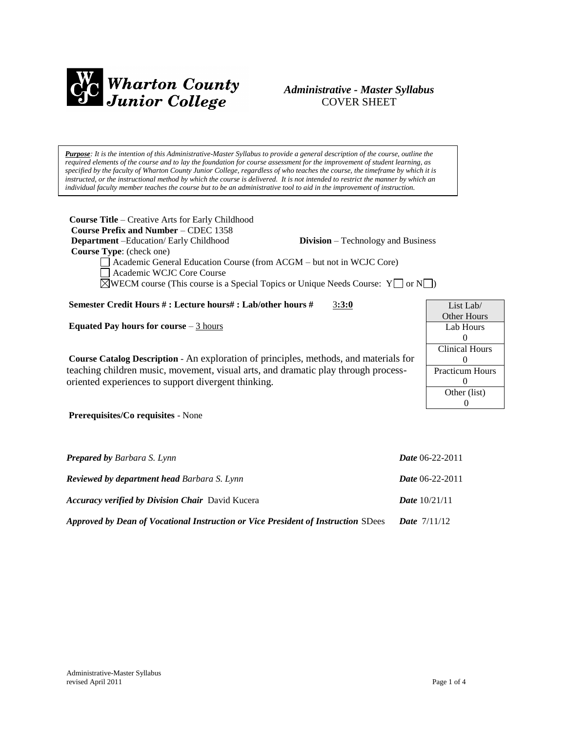

# *Administrative - Master Syllabus*  COVER SHEET

*Purpose: It is the intention of this Administrative-Master Syllabus to provide a general description of the course, outline the required elements of the course and to lay the foundation for course assessment for the improvement of student learning, as specified by the faculty of Wharton County Junior College, regardless of who teaches the course, the timeframe by which it is instructed, or the instructional method by which the course is delivered. It is not intended to restrict the manner by which an individual faculty member teaches the course but to be an administrative tool to aid in the improvement of instruction.*

| <b>Course Title</b> – Creative Arts for Early Childhood<br><b>Course Prefix and Number – CDEC 1358</b> |                        |
|--------------------------------------------------------------------------------------------------------|------------------------|
| <b>Department</b> – Education/ Early Childhood<br><b>Division</b> – Technology and Business            |                        |
| <b>Course Type:</b> (check one)                                                                        |                        |
| Academic General Education Course (from ACGM – but not in WCJC Core)<br>Academic WCJC Core Course      |                        |
| $\Diamond$ WECM course (This course is a Special Topics or Unique Needs Course: Y or N                 |                        |
| Semester Credit Hours #: Lecture hours#: Lab/other hours #<br>3:3:0                                    | List Lab/              |
|                                                                                                        | <b>Other Hours</b>     |
| Equated Pay hours for course $-3$ hours                                                                | Lab Hours              |
|                                                                                                        | $\Omega$               |
|                                                                                                        | <b>Clinical Hours</b>  |
| <b>Course Catalog Description</b> - An exploration of principles, methods, and materials for           | $\Omega$               |
| teaching children music, movement, visual arts, and dramatic play through process-                     | <b>Practicum Hours</b> |
| oriented experiences to support divergent thinking.                                                    | $\Omega$               |
|                                                                                                        | Other (list)           |
|                                                                                                        | $\Omega$               |
| <b>Prerequisites/Co requisites - None</b>                                                              |                        |
|                                                                                                        |                        |
| <b>Prepared by Barbara S. Lynn</b>                                                                     | <b>Date</b> 06-22-2011 |

| <b>Reviewed by department head Barbara S. Lynn</b>                                | <b>Date</b> 06-22-2011 |
|-----------------------------------------------------------------------------------|------------------------|
| <b>Accuracy verified by Division Chair</b> David Kucera                           | <b>Date</b> $10/21/11$ |
| Approved by Dean of Vocational Instruction or Vice President of Instruction SDees | <b>Date</b> $7/11/12$  |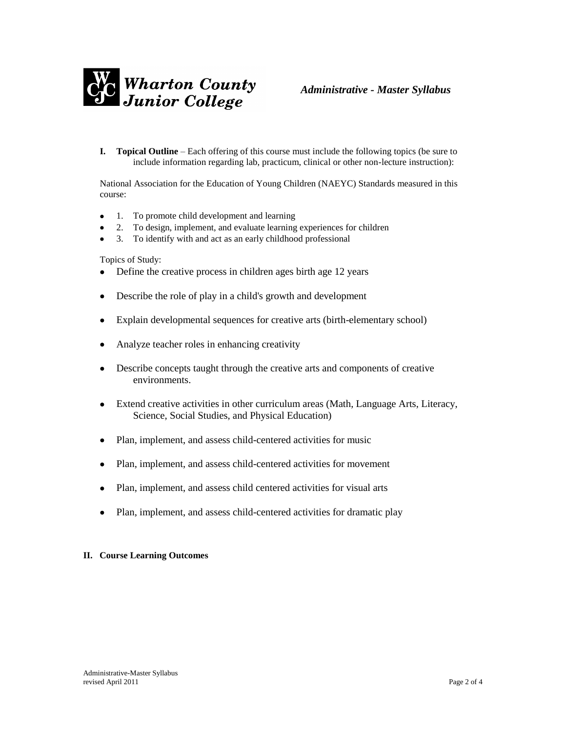

**I. Topical Outline** – Each offering of this course must include the following topics (be sure to include information regarding lab, practicum, clinical or other non-lecture instruction):

National Association for the Education of Young Children (NAEYC) Standards measured in this course:

- 1. To promote child development and learning
- 2. To design, implement, and evaluate learning experiences for children
- 3. To identify with and act as an early childhood professional

Topics of Study:

- Define the creative process in children ages birth age 12 years
- Describe the role of play in a child's growth and development
- Explain developmental sequences for creative arts (birth-elementary school)
- Analyze teacher roles in enhancing creativity
- Describe concepts taught through the creative arts and components of creative environments.
- Extend creative activities in other curriculum areas (Math, Language Arts, Literacy, Science, Social Studies, and Physical Education)
- Plan, implement, and assess child-centered activities for music
- Plan, implement, and assess child-centered activities for movement
- Plan, implement, and assess child centered activities for visual arts
- Plan, implement, and assess child-centered activities for dramatic play

#### **II. Course Learning Outcomes**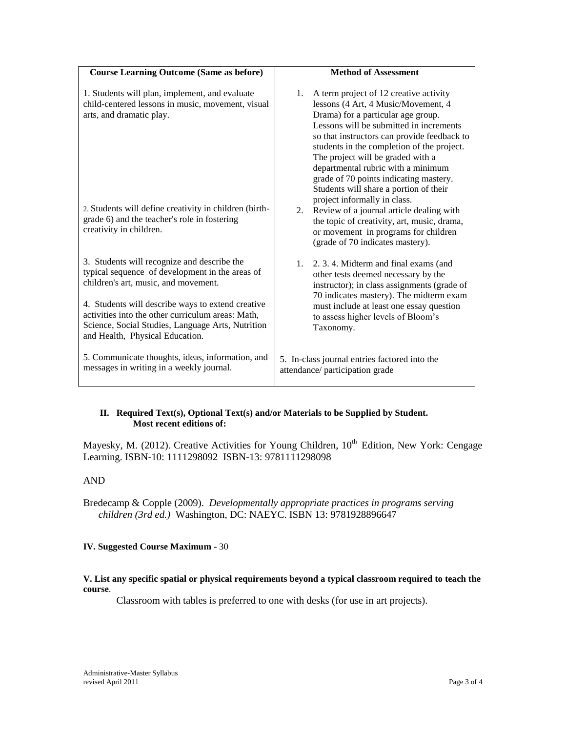| <b>Course Learning Outcome (Same as before)</b>                                                                                                                                                                                                                                                                                          | <b>Method of Assessment</b>                                                                                                                                                                                                                                                                                                                                                                                                                                      |
|------------------------------------------------------------------------------------------------------------------------------------------------------------------------------------------------------------------------------------------------------------------------------------------------------------------------------------------|------------------------------------------------------------------------------------------------------------------------------------------------------------------------------------------------------------------------------------------------------------------------------------------------------------------------------------------------------------------------------------------------------------------------------------------------------------------|
| 1. Students will plan, implement, and evaluate<br>child-centered lessons in music, movement, visual<br>arts, and dramatic play.                                                                                                                                                                                                          | 1.<br>A term project of 12 creative activity<br>lessons (4 Art, 4 Music/Movement, 4<br>Drama) for a particular age group.<br>Lessons will be submitted in increments<br>so that instructors can provide feedback to<br>students in the completion of the project.<br>The project will be graded with a<br>departmental rubric with a minimum<br>grade of 70 points indicating mastery.<br>Students will share a portion of their<br>project informally in class. |
| 2. Students will define creativity in children (birth-<br>grade 6) and the teacher's role in fostering<br>creativity in children.                                                                                                                                                                                                        | Review of a journal article dealing with<br>2.<br>the topic of creativity, art, music, drama,<br>or movement in programs for children<br>(grade of 70 indicates mastery).                                                                                                                                                                                                                                                                                        |
| 3. Students will recognize and describe the<br>typical sequence of development in the areas of<br>children's art, music, and movement.<br>4. Students will describe ways to extend creative<br>activities into the other curriculum areas: Math,<br>Science, Social Studies, Language Arts, Nutrition<br>and Health, Physical Education. | 2. 3. 4. Midterm and final exams (and<br>1.<br>other tests deemed necessary by the<br>instructor); in class assignments (grade of<br>70 indicates mastery). The midterm exam<br>must include at least one essay question<br>to assess higher levels of Bloom's<br>Taxonomy.                                                                                                                                                                                      |
| 5. Communicate thoughts, ideas, information, and<br>messages in writing in a weekly journal.                                                                                                                                                                                                                                             | 5. In-class journal entries factored into the<br>attendance/ participation grade                                                                                                                                                                                                                                                                                                                                                                                 |

### **II. Required Text(s), Optional Text(s) and/or Materials to be Supplied by Student. Most recent editions of:**

Mayesky, M. (2012). Creative Activities for Young Children,  $10<sup>th</sup>$  Edition, New York: Cengage Learning. ISBN-10: 1111298092 ISBN-13: 9781111298098

# AND

Bredecamp & Copple (2009). *Developmentally appropriate practices in programs serving children (3rd ed.)* Washington, DC: NAEYC. ISBN 13: 9781928896647

#### **IV. Suggested Course Maximum** - 30

### **V. List any specific spatial or physical requirements beyond a typical classroom required to teach the course**.

Classroom with tables is preferred to one with desks (for use in art projects).